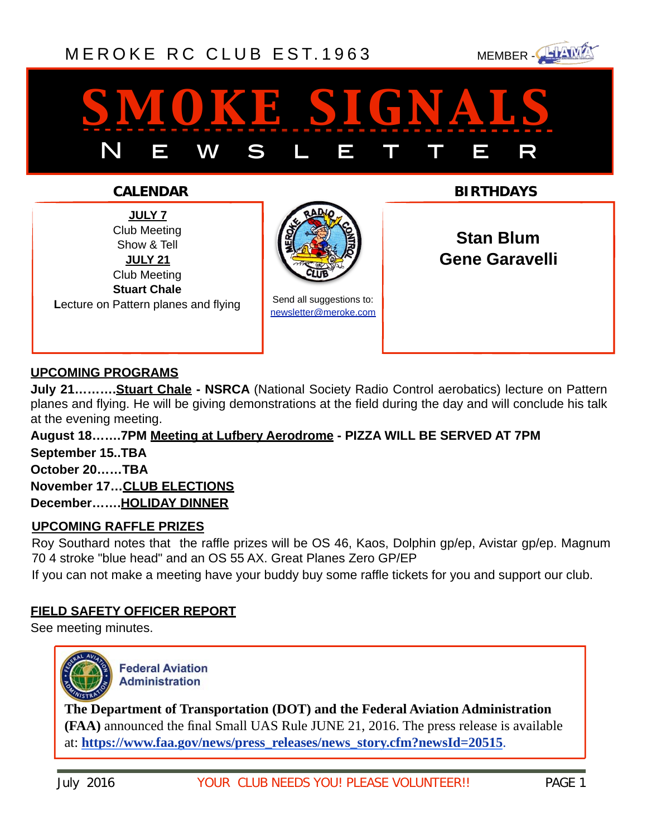# [MEROKE RC CLUB](http://www.meroke.com) EST. 1963 MEMBER-



# *smoke signals* N E W S L E T T E R

**JULY 7** Club Meeting Show & Tell **JULY 21** Club Meeting **Stuart Chale L**ecture on Pattern planes and flying



Send all suggestions to: [newsletter@meroke.com](mailto:newsletter@meroke.com)

**CALENDAR BIRTHDAYS**

**Stan Blum Gene Garavelli**

## **UPCOMING PROGRAMS**

**July 21……….Stuart Chale - NSRCA** (National Society Radio Control aerobatics) lecture on Pattern planes and flying. He will be giving demonstrations at the field during the day and will conclude his talk at the evening meeting.

**August 18…….7PM Meeting at Lufbery Aerodrome - PIZZA WILL BE SERVED AT 7PM September 15..TBA October 20……TBA November 17…CLUB ELECTIONS December…….HOLIDAY DINNER**

## **UPCOMING RAFFLE PRIZES**

Roy Southard notes that the raffle prizes will be OS 46, Kaos, Dolphin gp/ep, Avistar gp/ep. Magnum 70 4 stroke "blue head" and an OS 55 AX. Great Planes Zero GP/EP

If you can not make a meeting have your buddy buy some raffle tickets for you and support our club.

## **FIELD SAFETY OFFICER REPORT**

See meeting minutes.



**Federal Aviation Administration** 

**The Department of Transportation (DOT) and the Federal Aviation Administration (FAA)** announced the final Small UAS Rule JUNE 21, 2016. The press release is available at: **[https://www.faa.gov/news/press\\_releases/news\\_story.cfm?newsId=20515](http://links.govdelivery.com/track?type=click&enid=ZWFzPTEmbXNpZD0mYXVpZD0mbWFpbGluZ2lkPTIwMTYwNjIxLjYwNTUyNDkxJm1lc3NhZ2VpZD1NREItUFJELUJVTC0yMDE2MDYyMS42MDU1MjQ5MSZkYXRhYmFzZWlkPTEwMDEmc2VyaWFsPTE2ODcyMDYwJmVtYWlsaWQ9b3Npa21kQHZlcml6b24ubmV0JnVzZXJpZD1vc2lrbWRAdmVyaXpvbi5uZXQmdGFyZ2V0aWQ9JmZsPSZtdmlkPSZleHRyYT0mJiY=&&&100&&&https://www.faa.gov/news/press_releases/news_story.cfm?newsId=20515)**.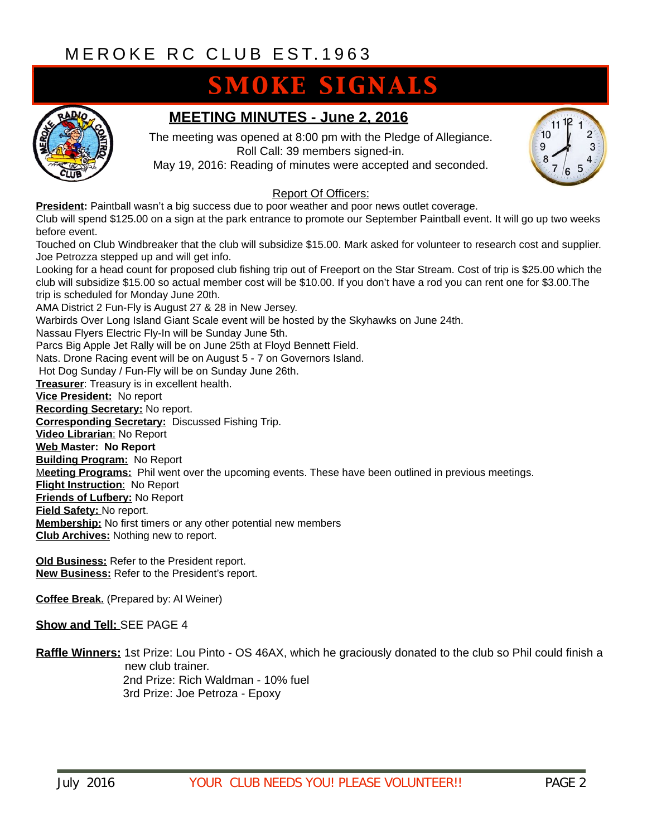# **SMOKE SIGNALS**



# **MEETING MINUTES - June 2, 2016**

The meeting was opened at 8:00 pm with the Pledge of Allegiance. Roll Call: 39 members signed-in.

May 19, 2016: Reading of minutes were accepted and seconded.



#### Report Of Officers:

**President:** Paintball wasn't a big success due to poor weather and poor news outlet coverage.

Club will spend \$125.00 on a sign at the park entrance to promote our September Paintball event. It will go up two weeks before event.

Touched on Club Windbreaker that the club will subsidize \$15.00. Mark asked for volunteer to research cost and supplier. Joe Petrozza stepped up and will get info.

Looking for a head count for proposed club fishing trip out of Freeport on the Star Stream. Cost of trip is \$25.00 which the club will subsidize \$15.00 so actual member cost will be \$10.00. If you don't have a rod you can rent one for \$3.00.The trip is scheduled for Monday June 20th.

AMA District 2 Fun-Fly is August 27 & 28 in New Jersey.

Warbirds Over Long Island Giant Scale event will be hosted by the Skyhawks on June 24th.

Nassau Flyers Electric Fly-In will be Sunday June 5th.

Parcs Big Apple Jet Rally will be on June 25th at Floyd Bennett Field.

Nats. Drone Racing event will be on August 5 - 7 on Governors Island.

Hot Dog Sunday / Fun-Fly will be on Sunday June 26th.

**Treasurer**: Treasury is in excellent health.

**Vice President:** No report

**Recording Secretary:** No report.

**Corresponding Secretary:** Discussed Fishing Trip.

**Video Librarian**: No Report

**Web Master: No Report**

**Building Program:** No Report

M**eeting Programs:** Phil went over the upcoming events. These have been outlined in previous meetings.

**Flight Instruction**: No Report

**Friends of Lufbery:** No Report

**Field Safety:** No report.

**Membership:** No first timers or any other potential new members

**Club Archives:** Nothing new to report.

**Old Business:** Refer to the President report. **New Business:** Refer to the President's report.

**Coffee Break.** (Prepared by: Al Weiner)

#### **Show and Tell:** SEE PAGE 4

**Raffle Winners:** 1st Prize: Lou Pinto - OS 46AX, which he graciously donated to the club so Phil could finish a new club trainer. 2nd Prize: Rich Waldman - 10% fuel 3rd Prize: Joe Petroza - Epoxy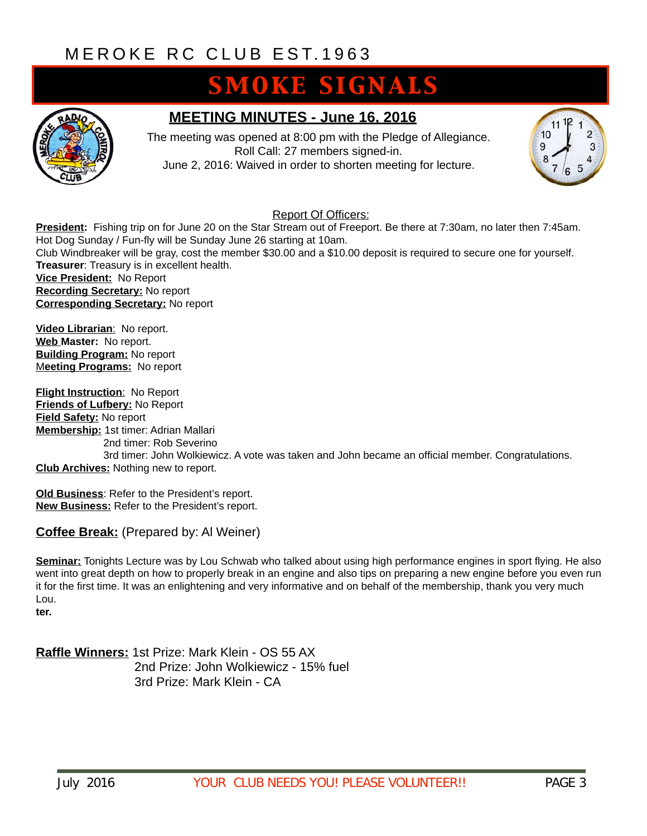# **SMOKE SIGNALS**



# **MEETING MINUTES - June 16, 2016**

The meeting was opened at 8:00 pm with the Pledge of Allegiance. Roll Call: 27 members signed-in. June 2, 2016: Waived in order to shorten meeting for lecture.



### Report Of Officers:

**President:** Fishing trip on for June 20 on the Star Stream out of Freeport. Be there at 7:30am, no later then 7:45am. Hot Dog Sunday / Fun-fly will be Sunday June 26 starting at 10am. Club Windbreaker will be gray, cost the member \$30.00 and a \$10.00 deposit is required to secure one for yourself. **Treasurer**: Treasury is in excellent health. **Vice President:** No Report **Recording Secretary:** No report **Corresponding Secretary:** No report

**Video Librarian**: No report. **Web Master:** No report. **Building Program:** No report M**eeting Programs:** No report

**Flight Instruction**: No Report **Friends of Lufbery:** No Report **Field Safety:** No report **Membership:** 1st timer: Adrian Mallari 2nd timer: Rob Severino 3rd timer: John Wolkiewicz. A vote was taken and John became an official member. Congratulations. **Club Archives:** Nothing new to report.

**Old Business**: Refer to the President's report. **New Business:** Refer to the President's report.

### **Coffee Break:** (Prepared by: Al Weiner)

**Seminar:** Tonights Lecture was by Lou Schwab who talked about using high performance engines in sport flying. He also went into great depth on how to properly break in an engine and also tips on preparing a new engine before you even run it for the first time. It was an enlightening and very informative and on behalf of the membership, thank you very much Lou.

**ter.**

**Raffle Winners:** 1st Prize: Mark Klein - OS 55 AX 2nd Prize: John Wolkiewicz - 15% fuel 3rd Prize: Mark Klein - CA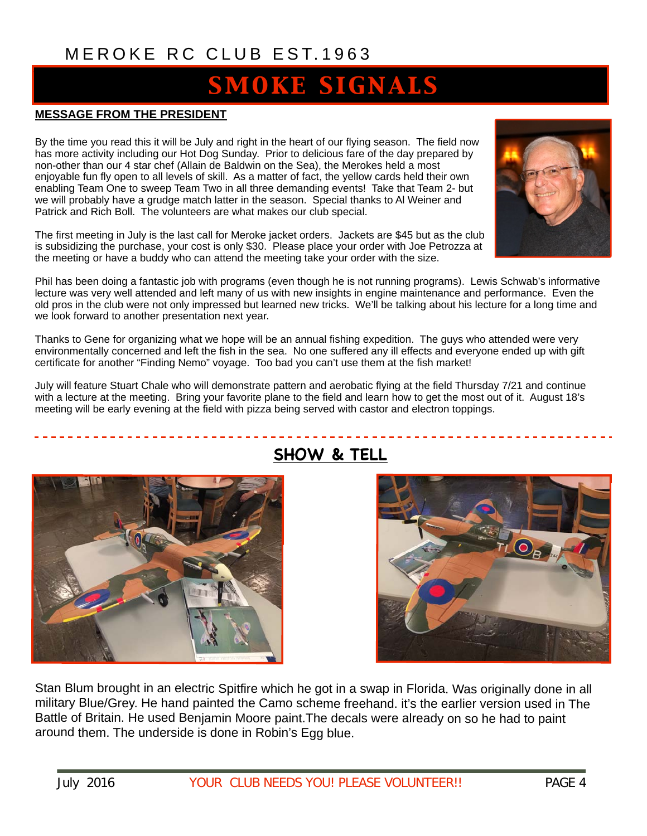# **SMOKE SIGNALS**

#### **MESSAGE FROM THE PRESIDENT**

By the time you read this it will be July and right in the heart of our flying season. The field now has more activity including our Hot Dog Sunday. Prior to delicious fare of the day prepared by non-other than our 4 star chef (Allain de Baldwin on the Sea), the Merokes held a most enjoyable fun fly open to all levels of skill. As a matter of fact, the yellow cards held their own enabling Team One to sweep Team Two in all three demanding events! Take that Team 2- but we will probably have a grudge match latter in the season. Special thanks to Al Weiner and Patrick and Rich Boll. The volunteers are what makes our club special.

The first meeting in July is the last call for Meroke jacket orders. Jackets are \$45 but as the club is subsidizing the purchase, your cost is only \$30. Please place your order with Joe Petrozza at the meeting or have a buddy who can attend the meeting take your order with the size.

Phil has been doing a fantastic job with programs (even though he is not running programs). Lewis Schwab's informative lecture was very well attended and left many of us with new insights in engine maintenance and performance. Even the old pros in the club were not only impressed but learned new tricks. We'll be talking about his lecture for a long time and we look forward to another presentation next year.

Thanks to Gene for organizing what we hope will be an annual fishing expedition. The guys who attended were very environmentally concerned and left the fish in the sea. No one suffered any ill effects and everyone ended up with gift certificate for another "Finding Nemo" voyage. Too bad you can't use them at the fish market!

July will feature Stuart Chale who will demonstrate pattern and aerobatic flying at the field Thursday 7/21 and continue with a lecture at the meeting. Bring your favorite plane to the field and learn how to get the most out of it. August 18's meeting will be early evening at the field with pizza being served with castor and electron toppings.



# **SHOW & TELL**

 $\bigcirc_{B}$ 

Stan Blum brought in an electric Spitfire which he got in a swap in Florida. Was originally done in all military Blue/Grey. He hand painted the Camo scheme freehand. it's the earlier version used in The Battle of Britain. He used Benjamin Moore paint.The decals were already on so he had to paint around them. The underside is done in Robin's Egg blue.

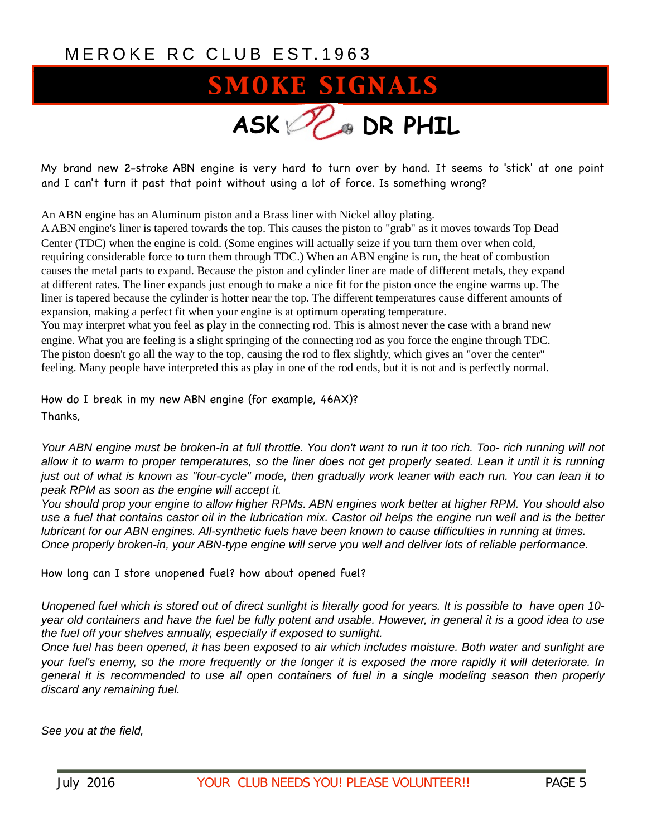# **SMOKE SIGNALS ASK DR PHIL**

My brand new 2-stroke ABN engine is very hard to turn over by hand. It seems to 'stick' at one point and I can't turn it past that point without using a lot of force. Is something wrong?

An ABN engine has an Aluminum piston and a Brass liner with Nickel alloy plating.

A ABN engine's liner is tapered towards the top. This causes the piston to "grab" as it moves towards Top Dead Center (TDC) when the engine is cold. (Some engines will actually seize if you turn them over when cold, requiring considerable force to turn them through TDC.) When an ABN engine is run, the heat of combustion causes the metal parts to expand. Because the piston and cylinder liner are made of different metals, they expand at different rates. The liner expands just enough to make a nice fit for the piston once the engine warms up. The liner is tapered because the cylinder is hotter near the top. The different temperatures cause different amounts of expansion, making a perfect fit when your engine is at optimum operating temperature.

You may interpret what you feel as play in the connecting rod. This is almost never the case with a brand new engine. What you are feeling is a slight springing of the connecting rod as you force the engine through TDC. The piston doesn't go all the way to the top, causing the rod to flex slightly, which gives an "over the center" feeling. Many people have interpreted this as play in one of the rod ends, but it is not and is perfectly normal.

How do I break in my new ABN engine (for example, 46AX)?

Thanks,

*Your ABN engine must be broken-in at full throttle. You don't want to run it too rich. Too- rich running will not allow it to warm to proper temperatures, so the liner does not get properly seated. Lean it until it is running just out of what is known as "four-cycle" mode, then gradually work leaner with each run. You can lean it to peak RPM as soon as the engine will accept it.* 

*You should prop your engine to allow higher RPMs. ABN engines work better at higher RPM. You should also use a fuel that contains castor oil in the lubrication mix. Castor oil helps the engine run well and is the better lubricant for our ABN engines. All-synthetic fuels have been known to cause difficulties in running at times. Once properly broken-in, your ABN-type engine will serve you well and deliver lots of reliable performance.* 

How long can I store unopened fuel? how about opened fuel?

*Unopened fuel which is stored out of direct sunlight is literally good for years. It is possible to have open 10 year old containers and have the fuel be fully potent and usable. However, in general it is a good idea to use the fuel off your shelves annually, especially if exposed to sunlight.* 

*Once fuel has been opened, it has been exposed to air which includes moisture. Both water and sunlight are your fuel's enemy, so the more frequently or the longer it is exposed the more rapidly it will deteriorate. In general it is recommended to use all open containers of fuel in a single modeling season then properly discard any remaining fuel.*

*See you at the field,*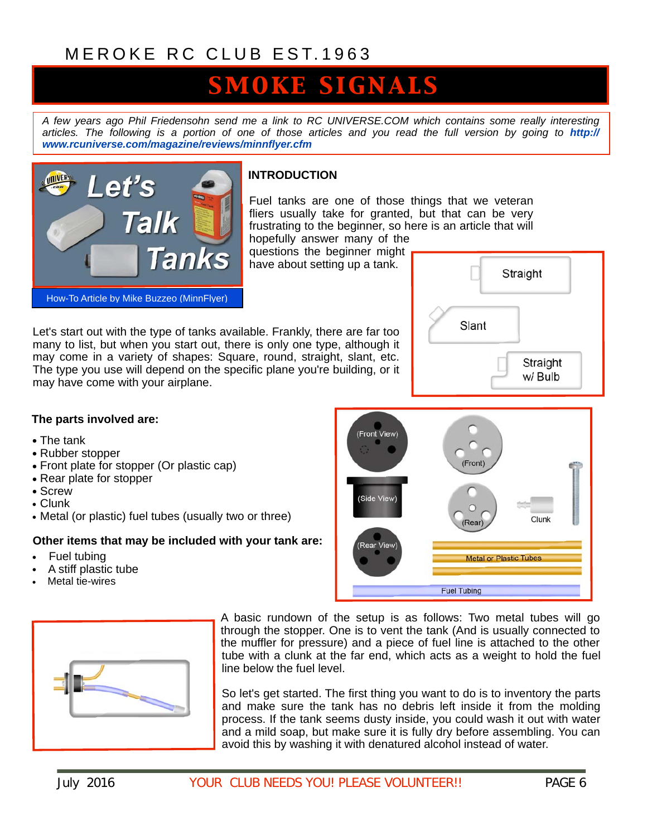# **SMOKE SIGNALS**

*A few years ago Phil Friedensohn send me a link to RC UNIVERSE.COM which contains some really interesting*  [articles. The following is a portion of one of those articles and you read the full version by going to](http://www.rcuniverse.com/magazine/reviews/minnflyer.cfm) *http:// www.rcuniverse.com/magazine/reviews/minnflyer.cfm*



### **INTRODUCTION**

Fuel tanks are one of those things that we veteran fliers usually take for granted, but that can be very frustrating to the beginner, so here is an article that will hopefully answer many of the

(Front View)

(Side View)

(Rear View

questions the beginner might have about setting up a tank.

Let's start out with the type of tanks available. Frankly, there are far too many to list, but when you start out, there is only one type, although it may come in a variety of shapes: Square, round, straight, slant, etc. The type you use will depend on the specific plane you're building, or it may have come with your airplane.



Clunk

(Front

Rear

**Fuel Tubing** 

**Metal or Plastic Tubes** 

#### **The parts involved are:**

- The tank
- Rubber stopper
- Front plate for stopper (Or plastic cap)
- Rear plate for stopper
- Screw
- Clunk
- Metal (or plastic) fuel tubes (usually two or three)

#### **Other items that may be included with your tank are:**

- Fuel tubing
- A stiff plastic tube
- Metal tie-wires



A basic rundown of the setup is as follows: Two metal tubes will go through the stopper. One is to vent the tank (And is usually connected to the muffler for pressure) and a piece of fuel line is attached to the other tube with a clunk at the far end, which acts as a weight to hold the fuel line below the fuel level.

So let's get started. The first thing you want to do is to inventory the parts and make sure the tank has no debris left inside it from the molding process. If the tank seems dusty inside, you could wash it out with water and a mild soap, but make sure it is fully dry before assembling. You can avoid this by washing it with denatured alcohol instead of water.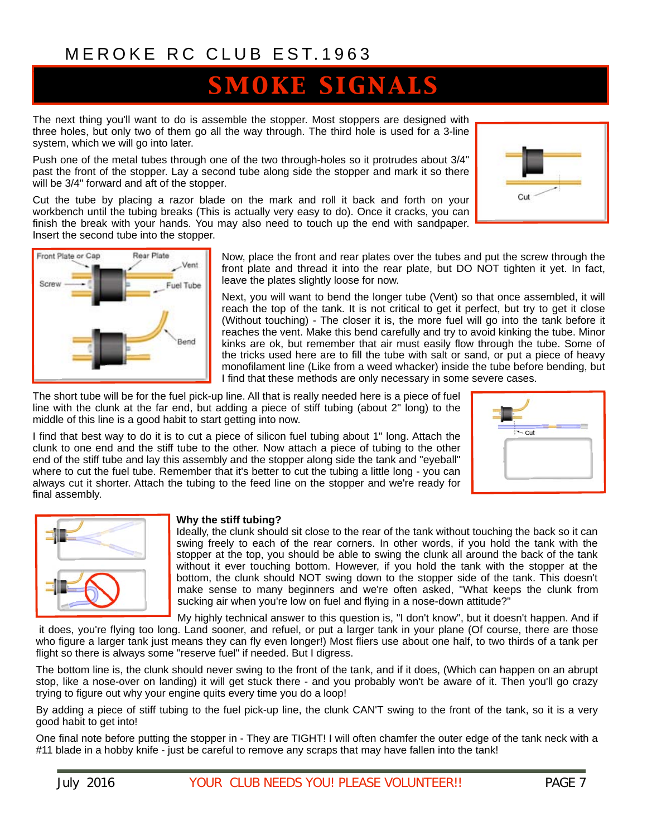# SMOKE SIGNALS

The next thing you'll want to do is assemble the stopper. Most stoppers are designed with three holes, but only two of them go all the way through. The third hole is used for a 3-line system, which we will go into later.

Push one of the metal tubes through one of the two through-holes so it protrudes about 3/4" past the front of the stopper. Lay a second tube along side the stopper and mark it so there will be 3/4" forward and aft of the stopper.

Cut the tube by placing a razor blade on the mark and roll it back and forth on your workbench until the tubing breaks (This is actually very easy to do). Once it cracks, you can finish the break with your hands. You may also need to touch up the end with sandpaper. Insert the second tube into the stopper.

> Now, place the front and rear plates over the tubes and put the screw through the front plate and thread it into the rear plate, but DO NOT tighten it yet. In fact, leave the plates slightly loose for now.

> Next, you will want to bend the longer tube (Vent) so that once assembled, it will reach the top of the tank. It is not critical to get it perfect, but try to get it close (Without touching) - The closer it is, the more fuel will go into the tank before it reaches the vent. Make this bend carefully and try to avoid kinking the tube. Minor kinks are ok, but remember that air must easily flow through the tube. Some of the tricks used here are to fill the tube with salt or sand, or put a piece of heavy monofilament line (Like from a weed whacker) inside the tube before bending, but I find that these methods are only necessary in some severe cases.

The short tube will be for the fuel pick-up line. All that is really needed here is a piece of fuel line with the clunk at the far end, but adding a piece of stiff tubing (about 2" long) to the middle of this line is a good habit to start getting into now.

I find that best way to do it is to cut a piece of silicon fuel tubing about 1" long. Attach the clunk to one end and the stiff tube to the other. Now attach a piece of tubing to the other end of the stiff tube and lay this assembly and the stopper along side the tank and "eyeball" where to cut the fuel tube. Remember that it's better to cut the tubing a little long - you can always cut it shorter. Attach the tubing to the feed line on the stopper and we're ready for final assembly.

| Why the stiff tubing?        |
|------------------------------|
| بابرمطم بإمسام مطه ببالمماما |

Ideally, the clunk should sit close to the rear of the tank without touching the back so it can swing freely to each of the rear corners. In other words, if you hold the tank with the stopper at the top, you should be able to swing the clunk all around the back of the tank without it ever touching bottom. However, if you hold the tank with the stopper at the bottom, the clunk should NOT swing down to the stopper side of the tank. This doesn't make sense to many beginners and we're often asked, "What keeps the clunk from sucking air when you're low on fuel and flying in a nose-down attitude?"

My highly technical answer to this question is, "I don't know", but it doesn't happen. And if

it does, you're flying too long. Land sooner, and refuel, or put a larger tank in your plane (Of course, there are those who figure a larger tank just means they can fly even longer!) Most fliers use about one half, to two thirds of a tank per flight so there is always some "reserve fuel" if needed. But I digress.

The bottom line is, the clunk should never swing to the front of the tank, and if it does, (Which can happen on an abrupt stop, like a nose-over on landing) it will get stuck there - and you probably won't be aware of it. Then you'll go crazy trying to figure out why your engine quits every time you do a loop!

By adding a piece of stiff tubing to the fuel pick-up line, the clunk CAN'T swing to the front of the tank, so it is a very good habit to get into!

One final note before putting the stopper in - They are TIGHT! I will often chamfer the outer edge of the tank neck with a #11 blade in a hobby knife - just be careful to remove any scraps that may have fallen into the tank!